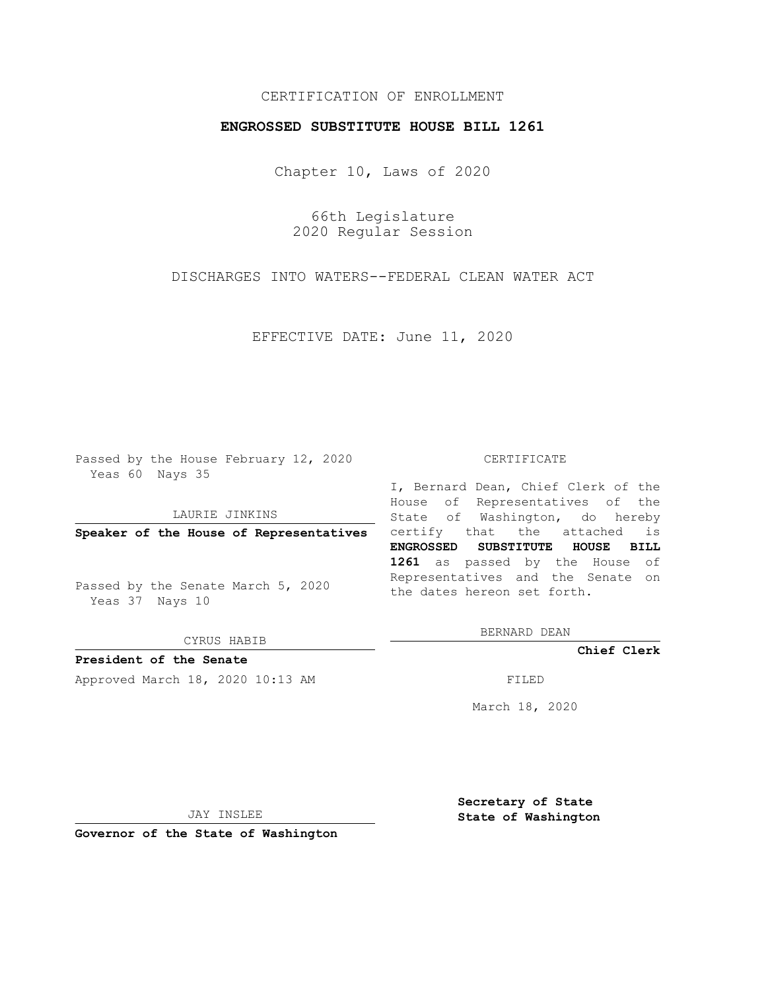## CERTIFICATION OF ENROLLMENT

## **ENGROSSED SUBSTITUTE HOUSE BILL 1261**

Chapter 10, Laws of 2020

66th Legislature 2020 Regular Session

DISCHARGES INTO WATERS--FEDERAL CLEAN WATER ACT

EFFECTIVE DATE: June 11, 2020

Passed by the House February 12, 2020 Yeas 60 Nays 35

LAURIE JINKINS

Passed by the Senate March 5, 2020 Yeas 37 Nays 10

CYRUS HABIB

**President of the Senate**

Approved March 18, 2020 10:13 AM FILED

## CERTIFICATE

**Speaker of the House of Representatives** certify that the attached is I, Bernard Dean, Chief Clerk of the House of Representatives of the State of Washington, do hereby **ENGROSSED SUBSTITUTE HOUSE BILL 1261** as passed by the House of Representatives and the Senate on the dates hereon set forth.

BERNARD DEAN

**Chief Clerk**

March 18, 2020

JAY INSLEE

**Governor of the State of Washington**

**Secretary of State State of Washington**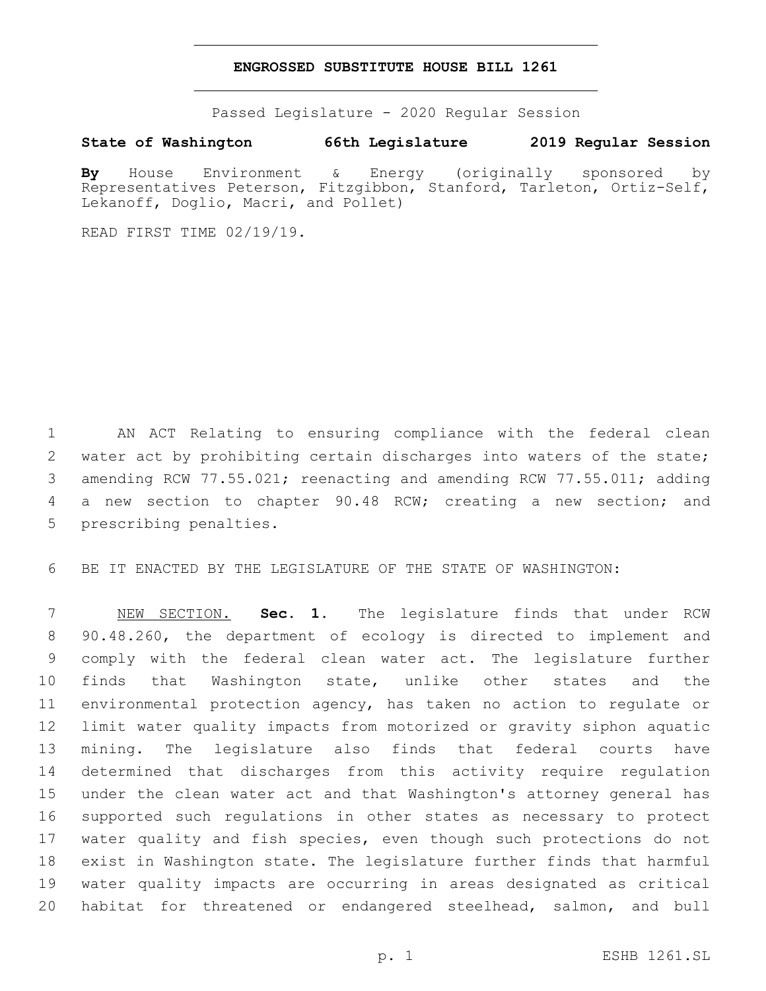## **ENGROSSED SUBSTITUTE HOUSE BILL 1261**

Passed Legislature - 2020 Regular Session

**State of Washington 66th Legislature 2019 Regular Session**

**By** House Environment & Energy (originally sponsored by Representatives Peterson, Fitzgibbon, Stanford, Tarleton, Ortiz-Self, Lekanoff, Doglio, Macri, and Pollet)

READ FIRST TIME 02/19/19.

 AN ACT Relating to ensuring compliance with the federal clean 2 water act by prohibiting certain discharges into waters of the state; amending RCW 77.55.021; reenacting and amending RCW 77.55.011; adding a new section to chapter 90.48 RCW; creating a new section; and 5 prescribing penalties.

BE IT ENACTED BY THE LEGISLATURE OF THE STATE OF WASHINGTON:

 NEW SECTION. **Sec. 1.** The legislature finds that under RCW 90.48.260, the department of ecology is directed to implement and comply with the federal clean water act. The legislature further finds that Washington state, unlike other states and the environmental protection agency, has taken no action to regulate or limit water quality impacts from motorized or gravity siphon aquatic mining. The legislature also finds that federal courts have determined that discharges from this activity require regulation under the clean water act and that Washington's attorney general has supported such regulations in other states as necessary to protect water quality and fish species, even though such protections do not exist in Washington state. The legislature further finds that harmful water quality impacts are occurring in areas designated as critical habitat for threatened or endangered steelhead, salmon, and bull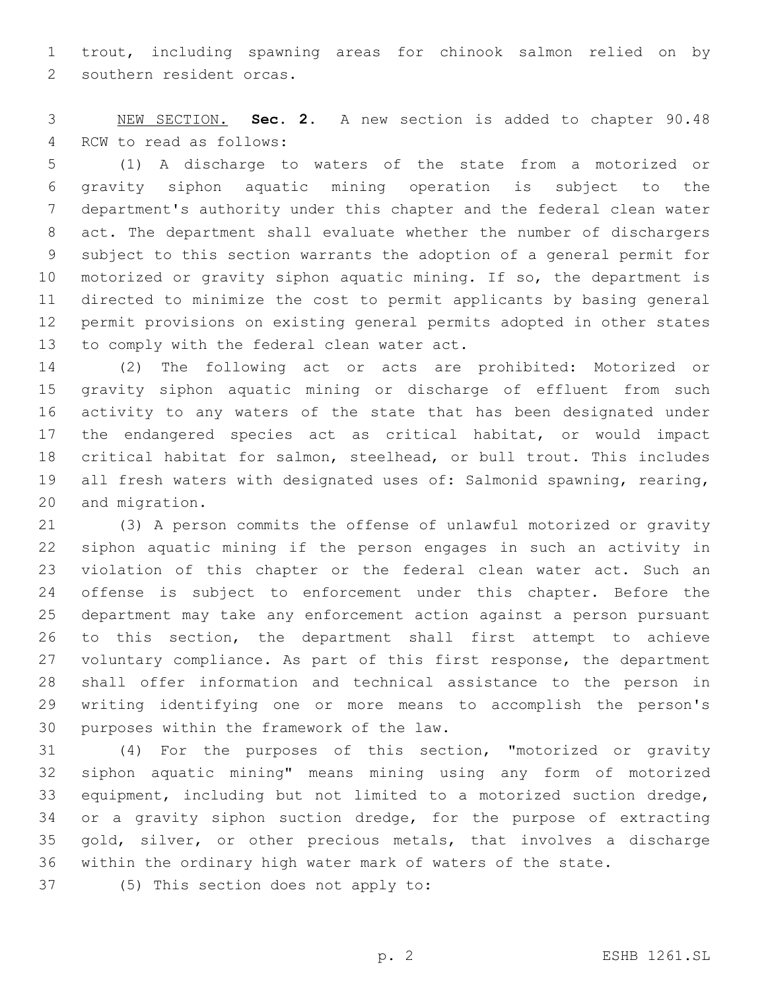trout, including spawning areas for chinook salmon relied on by 2 southern resident orcas.

 NEW SECTION. **Sec. 2.** A new section is added to chapter 90.48 4 RCW to read as follows:

 (1) A discharge to waters of the state from a motorized or gravity siphon aquatic mining operation is subject to the department's authority under this chapter and the federal clean water act. The department shall evaluate whether the number of dischargers subject to this section warrants the adoption of a general permit for motorized or gravity siphon aquatic mining. If so, the department is directed to minimize the cost to permit applicants by basing general permit provisions on existing general permits adopted in other states 13 to comply with the federal clean water act.

 (2) The following act or acts are prohibited: Motorized or gravity siphon aquatic mining or discharge of effluent from such activity to any waters of the state that has been designated under the endangered species act as critical habitat, or would impact critical habitat for salmon, steelhead, or bull trout. This includes all fresh waters with designated uses of: Salmonid spawning, rearing, 20 and migration.

 (3) A person commits the offense of unlawful motorized or gravity siphon aquatic mining if the person engages in such an activity in violation of this chapter or the federal clean water act. Such an offense is subject to enforcement under this chapter. Before the department may take any enforcement action against a person pursuant to this section, the department shall first attempt to achieve voluntary compliance. As part of this first response, the department shall offer information and technical assistance to the person in writing identifying one or more means to accomplish the person's 30 purposes within the framework of the law.

 (4) For the purposes of this section, "motorized or gravity siphon aquatic mining" means mining using any form of motorized equipment, including but not limited to a motorized suction dredge, 34 or a gravity siphon suction dredge, for the purpose of extracting gold, silver, or other precious metals, that involves a discharge within the ordinary high water mark of waters of the state.

37 (5) This section does not apply to: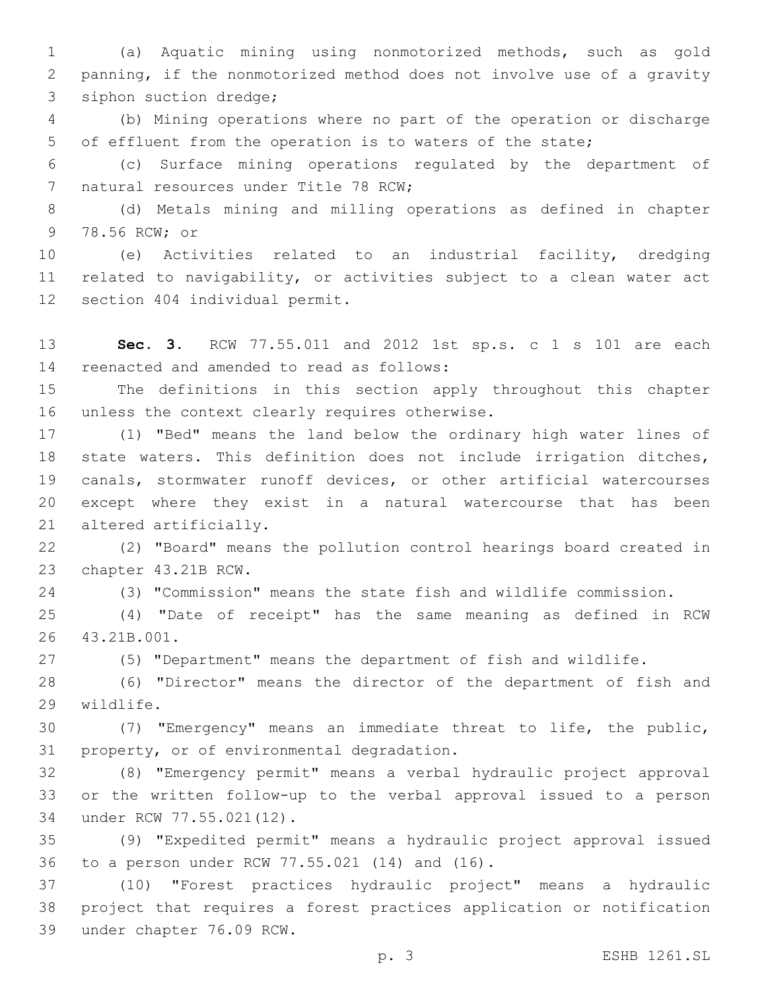(a) Aquatic mining using nonmotorized methods, such as gold panning, if the nonmotorized method does not involve use of a gravity 3 siphon suction dredge;

 (b) Mining operations where no part of the operation or discharge of effluent from the operation is to waters of the state;

 (c) Surface mining operations regulated by the department of 7 natural resources under Title 78 RCW;

 (d) Metals mining and milling operations as defined in chapter 9 78.56 RCW; or

 (e) Activities related to an industrial facility, dredging related to navigability, or activities subject to a clean water act 12 section 404 individual permit.

 **Sec. 3.** RCW 77.55.011 and 2012 1st sp.s. c 1 s 101 are each 14 reenacted and amended to read as follows:

 The definitions in this section apply throughout this chapter 16 unless the context clearly requires otherwise.

 (1) "Bed" means the land below the ordinary high water lines of state waters. This definition does not include irrigation ditches, canals, stormwater runoff devices, or other artificial watercourses except where they exist in a natural watercourse that has been 21 altered artificially.

 (2) "Board" means the pollution control hearings board created in 23 chapter 43.21B RCW.

(3) "Commission" means the state fish and wildlife commission.

 (4) "Date of receipt" has the same meaning as defined in RCW 26 43.21B.001.

(5) "Department" means the department of fish and wildlife.

 (6) "Director" means the director of the department of fish and 29 wildlife.

 (7) "Emergency" means an immediate threat to life, the public, 31 property, or of environmental degradation.

 (8) "Emergency permit" means a verbal hydraulic project approval or the written follow-up to the verbal approval issued to a person 34 under RCW 77.55.021(12).

 (9) "Expedited permit" means a hydraulic project approval issued 36 to a person under RCW 77.55.021 (14) and (16).

 (10) "Forest practices hydraulic project" means a hydraulic project that requires a forest practices application or notification 39 under chapter 76.09 RCW.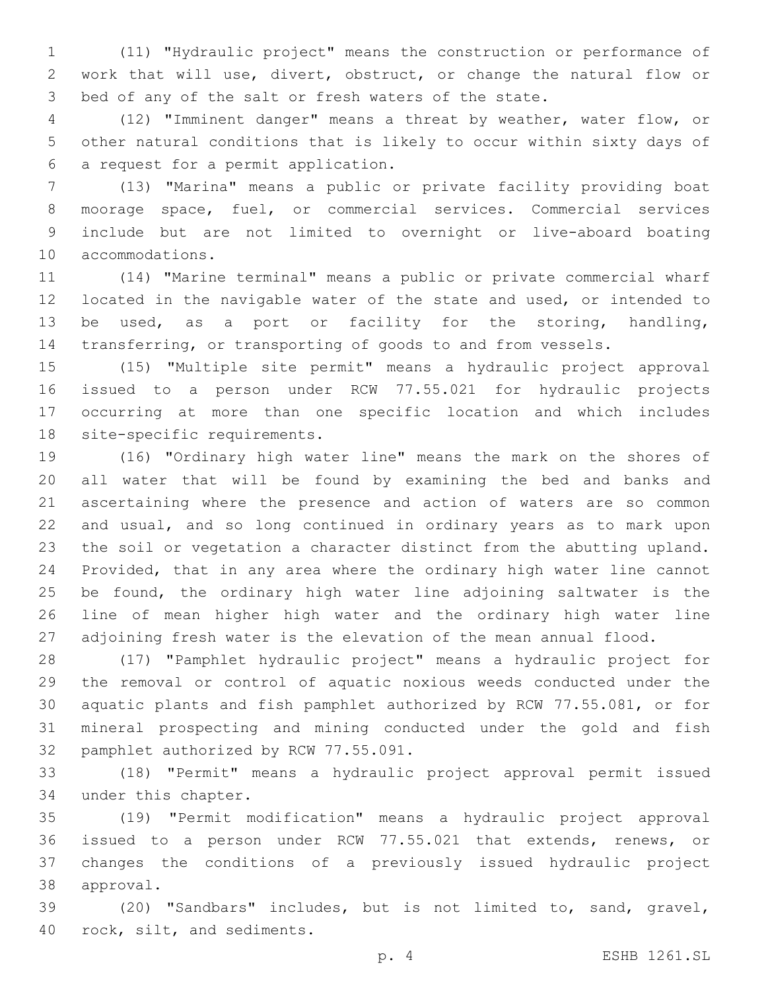(11) "Hydraulic project" means the construction or performance of work that will use, divert, obstruct, or change the natural flow or bed of any of the salt or fresh waters of the state.

 (12) "Imminent danger" means a threat by weather, water flow, or other natural conditions that is likely to occur within sixty days of a request for a permit application.6

 (13) "Marina" means a public or private facility providing boat moorage space, fuel, or commercial services. Commercial services include but are not limited to overnight or live-aboard boating 10 accommodations.

 (14) "Marine terminal" means a public or private commercial wharf located in the navigable water of the state and used, or intended to be used, as a port or facility for the storing, handling, transferring, or transporting of goods to and from vessels.

 (15) "Multiple site permit" means a hydraulic project approval issued to a person under RCW 77.55.021 for hydraulic projects occurring at more than one specific location and which includes 18 site-specific requirements.

 (16) "Ordinary high water line" means the mark on the shores of all water that will be found by examining the bed and banks and ascertaining where the presence and action of waters are so common and usual, and so long continued in ordinary years as to mark upon the soil or vegetation a character distinct from the abutting upland. Provided, that in any area where the ordinary high water line cannot be found, the ordinary high water line adjoining saltwater is the line of mean higher high water and the ordinary high water line adjoining fresh water is the elevation of the mean annual flood.

 (17) "Pamphlet hydraulic project" means a hydraulic project for the removal or control of aquatic noxious weeds conducted under the aquatic plants and fish pamphlet authorized by RCW 77.55.081, or for mineral prospecting and mining conducted under the gold and fish 32 pamphlet authorized by RCW 77.55.091.

 (18) "Permit" means a hydraulic project approval permit issued 34 under this chapter.

 (19) "Permit modification" means a hydraulic project approval issued to a person under RCW 77.55.021 that extends, renews, or changes the conditions of a previously issued hydraulic project 38 approval.

 (20) "Sandbars" includes, but is not limited to, sand, gravel, 40 rock, silt, and sediments.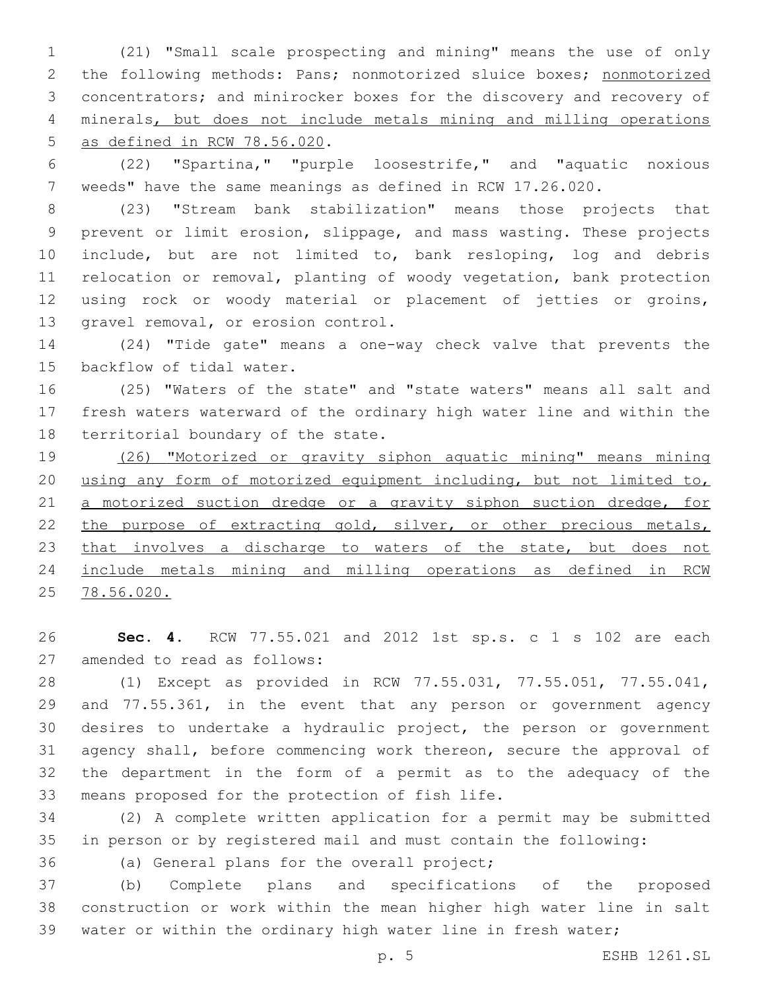(21) "Small scale prospecting and mining" means the use of only the following methods: Pans; nonmotorized sluice boxes; nonmotorized concentrators; and minirocker boxes for the discovery and recovery of minerals, but does not include metals mining and milling operations 5 as defined in RCW 78.56.020.

 (22) "Spartina," "purple loosestrife," and "aquatic noxious weeds" have the same meanings as defined in RCW 17.26.020.

 (23) "Stream bank stabilization" means those projects that prevent or limit erosion, slippage, and mass wasting. These projects include, but are not limited to, bank resloping, log and debris relocation or removal, planting of woody vegetation, bank protection using rock or woody material or placement of jetties or groins, 13 gravel removal, or erosion control.

 (24) "Tide gate" means a one-way check valve that prevents the 15 backflow of tidal water.

 (25) "Waters of the state" and "state waters" means all salt and fresh waters waterward of the ordinary high water line and within the 18 territorial boundary of the state.

 (26) "Motorized or gravity siphon aquatic mining" means mining using any form of motorized equipment including, but not limited to, 21 a motorized suction dredge or a gravity siphon suction dredge, for 22 the purpose of extracting gold, silver, or other precious metals, 23 that involves a discharge to waters of the state, but does not include metals mining and milling operations as defined in RCW 78.56.020.

 **Sec. 4.** RCW 77.55.021 and 2012 1st sp.s. c 1 s 102 are each 27 amended to read as follows:

 (1) Except as provided in RCW 77.55.031, 77.55.051, 77.55.041, 29 and 77.55.361, in the event that any person or government agency desires to undertake a hydraulic project, the person or government agency shall, before commencing work thereon, secure the approval of the department in the form of a permit as to the adequacy of the 33 means proposed for the protection of fish life.

 (2) A complete written application for a permit may be submitted in person or by registered mail and must contain the following:

36 (a) General plans for the overall project;

 (b) Complete plans and specifications of the proposed construction or work within the mean higher high water line in salt water or within the ordinary high water line in fresh water;

p. 5 ESHB 1261.SL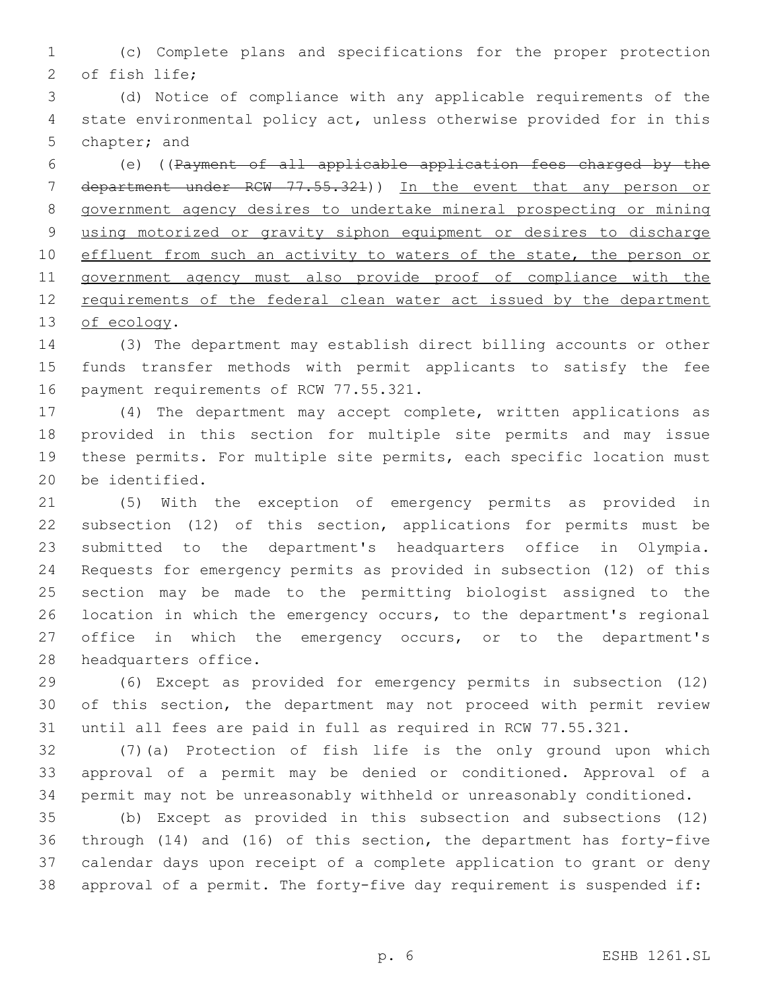(c) Complete plans and specifications for the proper protection 2 of fish life;

 (d) Notice of compliance with any applicable requirements of the state environmental policy act, unless otherwise provided for in this 5 chapter; and

 (e) ((Payment of all applicable application fees charged by the 7 department under RCW 77.55.321)) In the event that any person or government agency desires to undertake mineral prospecting or mining using motorized or gravity siphon equipment or desires to discharge 10 effluent from such an activity to waters of the state, the person or government agency must also provide proof of compliance with the 12 requirements of the federal clean water act issued by the department 13 of ecology.

 (3) The department may establish direct billing accounts or other funds transfer methods with permit applicants to satisfy the fee 16 payment requirements of RCW 77.55.321.

 (4) The department may accept complete, written applications as provided in this section for multiple site permits and may issue these permits. For multiple site permits, each specific location must 20 be identified.

 (5) With the exception of emergency permits as provided in subsection (12) of this section, applications for permits must be submitted to the department's headquarters office in Olympia. Requests for emergency permits as provided in subsection (12) of this section may be made to the permitting biologist assigned to the location in which the emergency occurs, to the department's regional 27 office in which the emergency occurs, or to the department's 28 headquarters office.

 (6) Except as provided for emergency permits in subsection (12) of this section, the department may not proceed with permit review until all fees are paid in full as required in RCW 77.55.321.

 (7)(a) Protection of fish life is the only ground upon which approval of a permit may be denied or conditioned. Approval of a permit may not be unreasonably withheld or unreasonably conditioned.

 (b) Except as provided in this subsection and subsections (12) through (14) and (16) of this section, the department has forty-five calendar days upon receipt of a complete application to grant or deny approval of a permit. The forty-five day requirement is suspended if: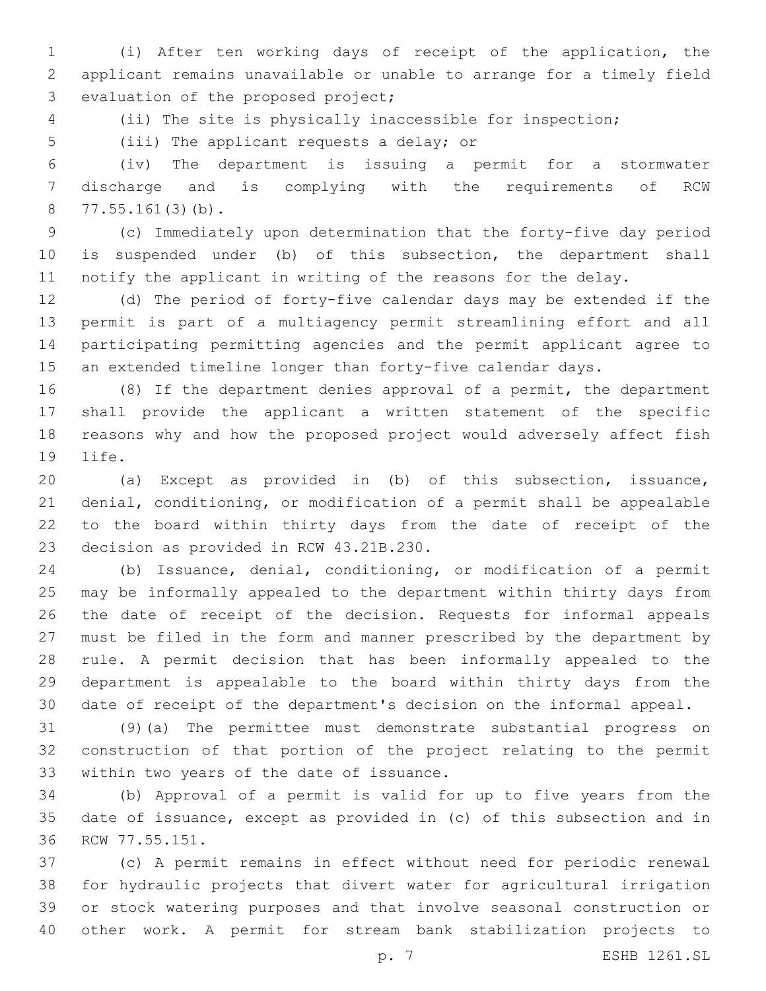(i) After ten working days of receipt of the application, the applicant remains unavailable or unable to arrange for a timely field 3 evaluation of the proposed project;

(ii) The site is physically inaccessible for inspection;

5 (iii) The applicant requests a delay; or

 (iv) The department is issuing a permit for a stormwater discharge and is complying with the requirements of RCW 77.55.161(3)(b).

 (c) Immediately upon determination that the forty-five day period is suspended under (b) of this subsection, the department shall notify the applicant in writing of the reasons for the delay.

 (d) The period of forty-five calendar days may be extended if the permit is part of a multiagency permit streamlining effort and all participating permitting agencies and the permit applicant agree to an extended timeline longer than forty-five calendar days.

 (8) If the department denies approval of a permit, the department shall provide the applicant a written statement of the specific reasons why and how the proposed project would adversely affect fish 19 life.

 (a) Except as provided in (b) of this subsection, issuance, denial, conditioning, or modification of a permit shall be appealable to the board within thirty days from the date of receipt of the 23 decision as provided in RCW 43.21B.230.

 (b) Issuance, denial, conditioning, or modification of a permit may be informally appealed to the department within thirty days from the date of receipt of the decision. Requests for informal appeals must be filed in the form and manner prescribed by the department by rule. A permit decision that has been informally appealed to the department is appealable to the board within thirty days from the date of receipt of the department's decision on the informal appeal.

 (9)(a) The permittee must demonstrate substantial progress on construction of that portion of the project relating to the permit 33 within two years of the date of issuance.

 (b) Approval of a permit is valid for up to five years from the date of issuance, except as provided in (c) of this subsection and in 36 RCW 77.55.151.

 (c) A permit remains in effect without need for periodic renewal for hydraulic projects that divert water for agricultural irrigation or stock watering purposes and that involve seasonal construction or other work. A permit for stream bank stabilization projects to

p. 7 ESHB 1261.SL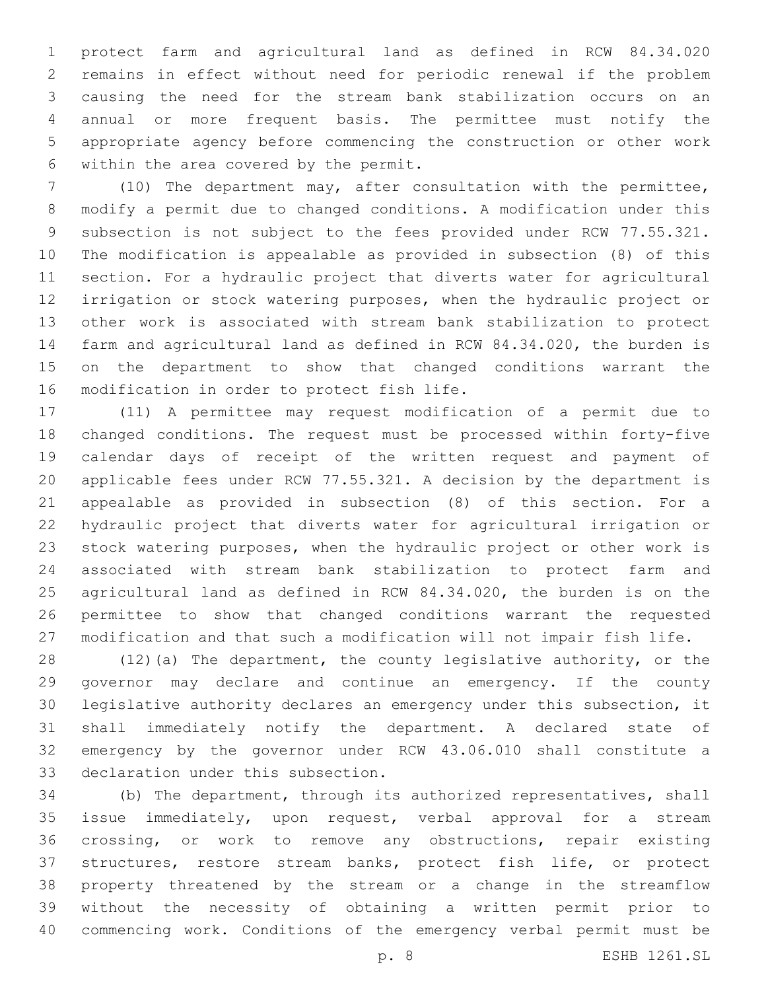protect farm and agricultural land as defined in RCW 84.34.020 remains in effect without need for periodic renewal if the problem causing the need for the stream bank stabilization occurs on an annual or more frequent basis. The permittee must notify the appropriate agency before commencing the construction or other work 6 within the area covered by the permit.

 (10) The department may, after consultation with the permittee, modify a permit due to changed conditions. A modification under this subsection is not subject to the fees provided under RCW 77.55.321. The modification is appealable as provided in subsection (8) of this section. For a hydraulic project that diverts water for agricultural irrigation or stock watering purposes, when the hydraulic project or other work is associated with stream bank stabilization to protect farm and agricultural land as defined in RCW 84.34.020, the burden is on the department to show that changed conditions warrant the 16 modification in order to protect fish life.

 (11) A permittee may request modification of a permit due to changed conditions. The request must be processed within forty-five calendar days of receipt of the written request and payment of applicable fees under RCW 77.55.321. A decision by the department is appealable as provided in subsection (8) of this section. For a hydraulic project that diverts water for agricultural irrigation or stock watering purposes, when the hydraulic project or other work is associated with stream bank stabilization to protect farm and agricultural land as defined in RCW 84.34.020, the burden is on the permittee to show that changed conditions warrant the requested modification and that such a modification will not impair fish life.

 (12)(a) The department, the county legislative authority, or the governor may declare and continue an emergency. If the county legislative authority declares an emergency under this subsection, it shall immediately notify the department. A declared state of emergency by the governor under RCW 43.06.010 shall constitute a 33 declaration under this subsection.

 (b) The department, through its authorized representatives, shall issue immediately, upon request, verbal approval for a stream crossing, or work to remove any obstructions, repair existing structures, restore stream banks, protect fish life, or protect property threatened by the stream or a change in the streamflow without the necessity of obtaining a written permit prior to commencing work. Conditions of the emergency verbal permit must be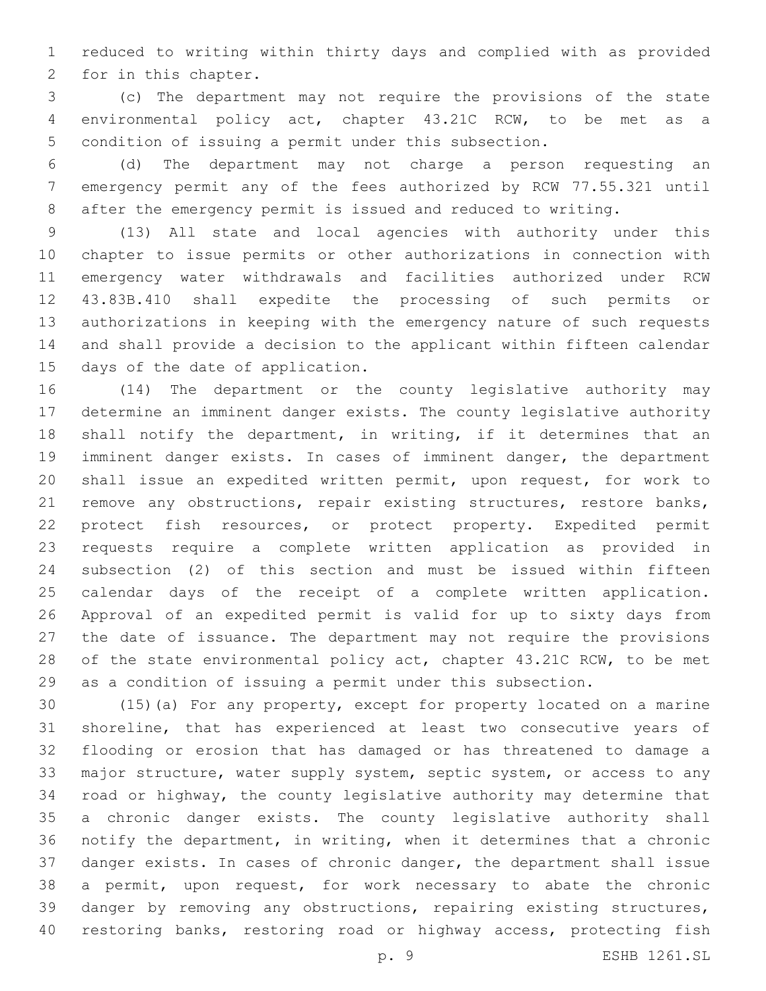reduced to writing within thirty days and complied with as provided 2 for in this chapter.

 (c) The department may not require the provisions of the state environmental policy act, chapter 43.21C RCW, to be met as a condition of issuing a permit under this subsection.

 (d) The department may not charge a person requesting an emergency permit any of the fees authorized by RCW 77.55.321 until after the emergency permit is issued and reduced to writing.

 (13) All state and local agencies with authority under this chapter to issue permits or other authorizations in connection with emergency water withdrawals and facilities authorized under RCW 43.83B.410 shall expedite the processing of such permits or authorizations in keeping with the emergency nature of such requests and shall provide a decision to the applicant within fifteen calendar 15 days of the date of application.

 (14) The department or the county legislative authority may determine an imminent danger exists. The county legislative authority 18 shall notify the department, in writing, if it determines that an imminent danger exists. In cases of imminent danger, the department shall issue an expedited written permit, upon request, for work to remove any obstructions, repair existing structures, restore banks, protect fish resources, or protect property. Expedited permit requests require a complete written application as provided in subsection (2) of this section and must be issued within fifteen calendar days of the receipt of a complete written application. Approval of an expedited permit is valid for up to sixty days from the date of issuance. The department may not require the provisions 28 of the state environmental policy act, chapter 43.21C RCW, to be met as a condition of issuing a permit under this subsection.

 (15)(a) For any property, except for property located on a marine shoreline, that has experienced at least two consecutive years of flooding or erosion that has damaged or has threatened to damage a 33 major structure, water supply system, septic system, or access to any road or highway, the county legislative authority may determine that a chronic danger exists. The county legislative authority shall notify the department, in writing, when it determines that a chronic danger exists. In cases of chronic danger, the department shall issue a permit, upon request, for work necessary to abate the chronic danger by removing any obstructions, repairing existing structures, restoring banks, restoring road or highway access, protecting fish

p. 9 ESHB 1261.SL